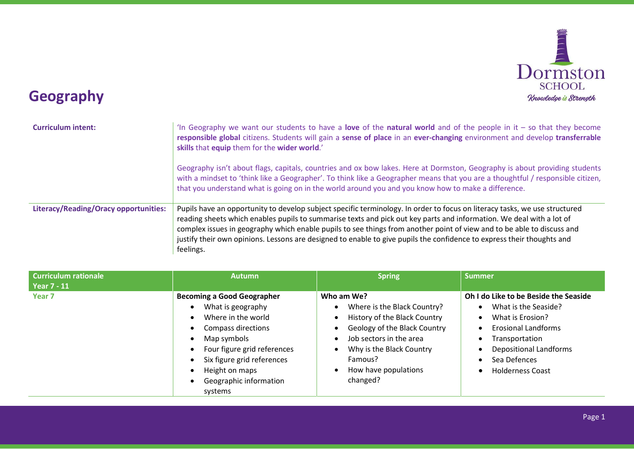

## Geography

| <b>Curriculum intent:</b>             | In Geography we want our students to have a love of the natural world and of the people in it – so that they become<br>responsible global citizens. Students will gain a sense of place in an ever-changing environment and develop transferrable<br>skills that equip them for the wider world.'                                                                                                                                                                                                                   |
|---------------------------------------|---------------------------------------------------------------------------------------------------------------------------------------------------------------------------------------------------------------------------------------------------------------------------------------------------------------------------------------------------------------------------------------------------------------------------------------------------------------------------------------------------------------------|
|                                       | Geography isn't about flags, capitals, countries and ox bow lakes. Here at Dormston, Geography is about providing students<br>with a mindset to 'think like a Geographer'. To think like a Geographer means that you are a thoughtful / responsible citizen,<br>that you understand what is going on in the world around you and you know how to make a difference.                                                                                                                                                 |
| Literacy/Reading/Oracy opportunities: | Pupils have an opportunity to develop subject specific terminology. In order to focus on literacy tasks, we use structured<br>reading sheets which enables pupils to summarise texts and pick out key parts and information. We deal with a lot of<br>complex issues in geography which enable pupils to see things from another point of view and to be able to discuss and<br>justify their own opinions. Lessons are designed to enable to give pupils the confidence to express their thoughts and<br>feelings. |

| <b>Curriculum rationale</b><br><b>Year 7 - 11</b> | <b>Autumn</b>                                                                                                                                                                                                                         | <b>Spring</b>                                                                                                                                                                                                                       | <b>Summer</b>                                                                                                                                                                                                 |
|---------------------------------------------------|---------------------------------------------------------------------------------------------------------------------------------------------------------------------------------------------------------------------------------------|-------------------------------------------------------------------------------------------------------------------------------------------------------------------------------------------------------------------------------------|---------------------------------------------------------------------------------------------------------------------------------------------------------------------------------------------------------------|
| Year <sub>7</sub>                                 | <b>Becoming a Good Geographer</b><br>What is geography<br>Where in the world<br>Compass directions<br>Map symbols<br>Four figure grid references<br>Six figure grid references<br>Height on maps<br>Geographic information<br>systems | Who am We?<br>Where is the Black Country?<br>$\bullet$<br>History of the Black Country<br>- 0<br>Geology of the Black Country<br>Job sectors in the area<br>Why is the Black Country<br>Famous?<br>How have populations<br>changed? | Oh I do Like to be Beside the Seaside<br>What is the Seaside?<br>What is Erosion?<br><b>Erosional Landforms</b><br>Transportation<br><b>Depositional Landforms</b><br>Sea Defences<br><b>Holderness Coast</b> |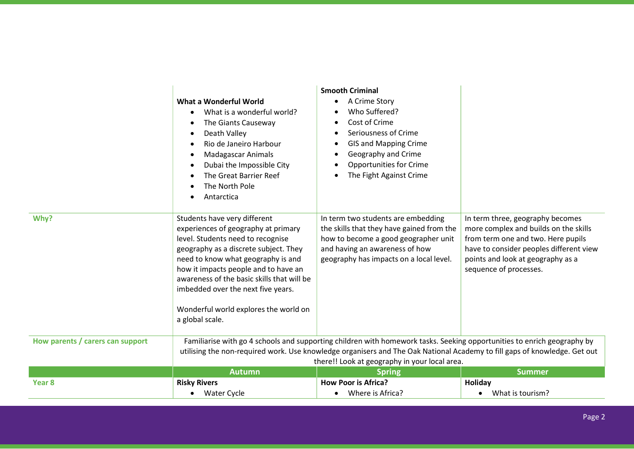|                                  | What a Wonderful World<br>What is a wonderful world?<br>The Giants Causeway<br>Death Valley<br>Rio de Janeiro Harbour<br><b>Madagascar Animals</b><br>$\bullet$<br>Dubai the Impossible City<br>The Great Barrier Reef<br>The North Pole<br>Antarctica                                                                                                                          | <b>Smooth Criminal</b><br>A Crime Story<br>Who Suffered?<br>Cost of Crime<br>Seriousness of Crime<br><b>GIS and Mapping Crime</b><br>Geography and Crime<br><b>Opportunities for Crime</b><br>The Fight Against Crime |                                                                                                                                                                                                                           |
|----------------------------------|---------------------------------------------------------------------------------------------------------------------------------------------------------------------------------------------------------------------------------------------------------------------------------------------------------------------------------------------------------------------------------|-----------------------------------------------------------------------------------------------------------------------------------------------------------------------------------------------------------------------|---------------------------------------------------------------------------------------------------------------------------------------------------------------------------------------------------------------------------|
| Why?                             | Students have very different<br>experiences of geography at primary<br>level. Students need to recognise<br>geography as a discrete subject. They<br>need to know what geography is and<br>how it impacts people and to have an<br>awareness of the basic skills that will be<br>imbedded over the next five years.<br>Wonderful world explores the world on<br>a global scale. | In term two students are embedding<br>the skills that they have gained from the<br>how to become a good geographer unit<br>and having an awareness of how<br>geography has impacts on a local level.                  | In term three, geography becomes<br>more complex and builds on the skills<br>from term one and two. Here pupils<br>have to consider peoples different view<br>points and look at geography as a<br>sequence of processes. |
| How parents / carers can support | Familiarise with go 4 schools and supporting children with homework tasks. Seeking opportunities to enrich geography by<br>utilising the non-required work. Use knowledge organisers and The Oak National Academy to fill gaps of knowledge. Get out<br>there!! Look at geography in your local area.                                                                           |                                                                                                                                                                                                                       |                                                                                                                                                                                                                           |
|                                  | <b>Autumn</b>                                                                                                                                                                                                                                                                                                                                                                   | <b>Spring</b>                                                                                                                                                                                                         | <b>Summer</b>                                                                                                                                                                                                             |
| Year <sub>8</sub>                | <b>Risky Rivers</b>                                                                                                                                                                                                                                                                                                                                                             | <b>How Poor is Africa?</b>                                                                                                                                                                                            | Holiday                                                                                                                                                                                                                   |
|                                  | Water Cycle                                                                                                                                                                                                                                                                                                                                                                     | Where is Africa?                                                                                                                                                                                                      | What is tourism?<br>$\bullet$                                                                                                                                                                                             |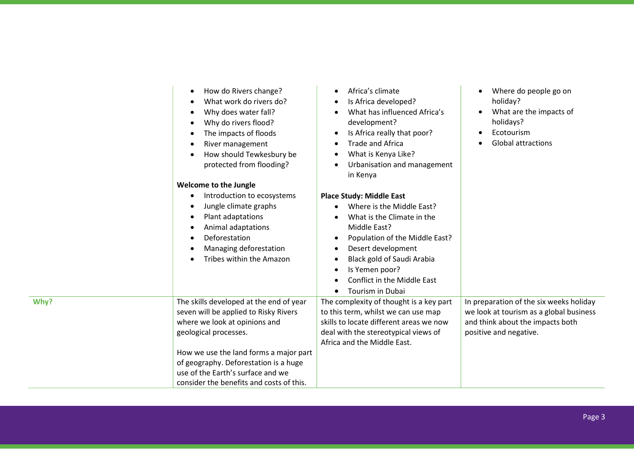|      | How do Rivers change?<br>$\bullet$<br>What work do rivers do?<br>$\bullet$<br>Why does water fall?<br>$\bullet$<br>Why do rivers flood?<br>$\bullet$<br>The impacts of floods<br>$\bullet$<br>River management<br>$\bullet$<br>How should Tewkesbury be<br>protected from flooding?<br>Welcome to the Jungle<br>Introduction to ecosystems<br>$\bullet$<br>Jungle climate graphs<br>$\bullet$<br>Plant adaptations<br>$\bullet$<br>Animal adaptations<br>$\bullet$<br>Deforestation<br>$\bullet$<br>Managing deforestation<br>Tribes within the Amazon<br>$\bullet$ | Africa's climate<br>Is Africa developed?<br>What has influenced Africa's<br>development?<br>Is Africa really that poor?<br>$\bullet$<br><b>Trade and Africa</b><br>What is Kenya Like?<br>Urbanisation and management<br>in Kenya<br><b>Place Study: Middle East</b><br>Where is the Middle East?<br>What is the Climate in the<br>Middle East?<br>Population of the Middle East?<br>$\bullet$<br>Desert development<br>Black gold of Saudi Arabia<br>Is Yemen poor?<br>Conflict in the Middle East<br><b>Tourism in Dubai</b> | Where do people go on<br>holiday?<br>What are the impacts of<br>holidays?<br>Ecotourism<br><b>Global attractions</b>                             |
|------|---------------------------------------------------------------------------------------------------------------------------------------------------------------------------------------------------------------------------------------------------------------------------------------------------------------------------------------------------------------------------------------------------------------------------------------------------------------------------------------------------------------------------------------------------------------------|--------------------------------------------------------------------------------------------------------------------------------------------------------------------------------------------------------------------------------------------------------------------------------------------------------------------------------------------------------------------------------------------------------------------------------------------------------------------------------------------------------------------------------|--------------------------------------------------------------------------------------------------------------------------------------------------|
| Why? | The skills developed at the end of year<br>seven will be applied to Risky Rivers<br>where we look at opinions and<br>geological processes.<br>How we use the land forms a major part<br>of geography. Deforestation is a huge<br>use of the Earth's surface and we<br>consider the benefits and costs of this.                                                                                                                                                                                                                                                      | The complexity of thought is a key part<br>to this term, whilst we can use map<br>skills to locate different areas we now<br>deal with the stereotypical views of<br>Africa and the Middle East.                                                                                                                                                                                                                                                                                                                               | In preparation of the six weeks holiday<br>we look at tourism as a global business<br>and think about the impacts both<br>positive and negative. |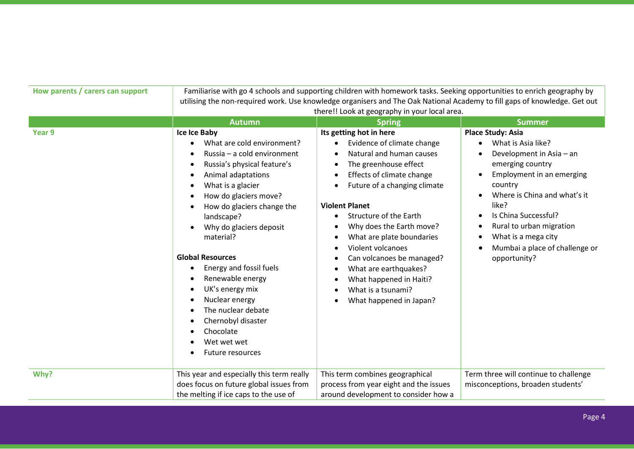| How parents / carers can support | Familiarise with go 4 schools and supporting children with homework tasks. Seeking opportunities to enrich geography by<br>utilising the non-required work. Use knowledge organisers and The Oak National Academy to fill gaps of knowledge. Get out<br>there!! Look at geography in your local area.                                                                                                                                                                                    |                                                                                                                                                                                                                                                                                                                                                                                                                                            |                                                                                                                                                                                                                                                                                                                                                                               |  |
|----------------------------------|------------------------------------------------------------------------------------------------------------------------------------------------------------------------------------------------------------------------------------------------------------------------------------------------------------------------------------------------------------------------------------------------------------------------------------------------------------------------------------------|--------------------------------------------------------------------------------------------------------------------------------------------------------------------------------------------------------------------------------------------------------------------------------------------------------------------------------------------------------------------------------------------------------------------------------------------|-------------------------------------------------------------------------------------------------------------------------------------------------------------------------------------------------------------------------------------------------------------------------------------------------------------------------------------------------------------------------------|--|
|                                  | <b>Autumn</b>                                                                                                                                                                                                                                                                                                                                                                                                                                                                            | <b>Spring</b>                                                                                                                                                                                                                                                                                                                                                                                                                              | <b>Summer</b>                                                                                                                                                                                                                                                                                                                                                                 |  |
| Year 9                           | Ice Ice Baby<br>What are cold environment?<br>Russia - a cold environment<br>Russia's physical feature's<br>Animal adaptations<br>What is a glacier<br>How do glaciers move?<br>How do glaciers change the<br>landscape?<br>Why do glaciers deposit<br>material?<br><b>Global Resources</b><br>Energy and fossil fuels<br>$\bullet$<br>Renewable energy<br>UK's energy mix<br>Nuclear energy<br>The nuclear debate<br>Chernobyl disaster<br>Chocolate<br>Wet wet wet<br>Future resources | Its getting hot in here<br>Evidence of climate change<br>Natural and human causes<br>The greenhouse effect<br>Effects of climate change<br>Future of a changing climate<br><b>Violent Planet</b><br>Structure of the Earth<br>Why does the Earth move?<br>What are plate boundaries<br>Violent volcanoes<br>Can volcanoes be managed?<br>What are earthquakes?<br>What happened in Haiti?<br>What is a tsunami?<br>What happened in Japan? | <b>Place Study: Asia</b><br>What is Asia like?<br>Development in Asia - an<br>emerging country<br>Employment in an emerging<br>$\bullet$<br>country<br>Where is China and what's it<br>$\bullet$<br>like?<br>Is China Successful?<br>$\bullet$<br>Rural to urban migration<br>$\bullet$<br>What is a mega city<br>$\bullet$<br>Mumbai a place of challenge or<br>opportunity? |  |
| Why?                             | This year and especially this term really<br>does focus on future global issues from<br>the melting if ice caps to the use of                                                                                                                                                                                                                                                                                                                                                            | This term combines geographical<br>process from year eight and the issues<br>around development to consider how a                                                                                                                                                                                                                                                                                                                          | Term three will continue to challenge<br>misconceptions, broaden students'                                                                                                                                                                                                                                                                                                    |  |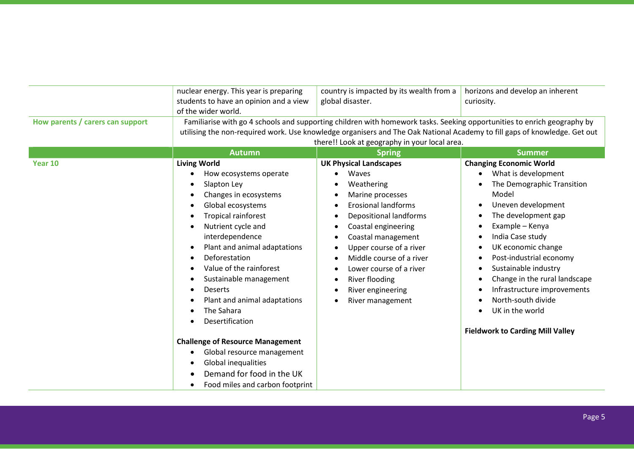|                                  | nuclear energy. This year is preparing<br>students to have an opinion and a view<br>of the wider world.                                                                                                                                                                                                                                                                                                                                                                                                              | country is impacted by its wealth from a<br>global disaster.                                                                                                                                                                                                                                                                      | horizons and develop an inherent<br>curiosity.                                                                                                                                                                                                                                                                                                                                                                                                                                                                                     |
|----------------------------------|----------------------------------------------------------------------------------------------------------------------------------------------------------------------------------------------------------------------------------------------------------------------------------------------------------------------------------------------------------------------------------------------------------------------------------------------------------------------------------------------------------------------|-----------------------------------------------------------------------------------------------------------------------------------------------------------------------------------------------------------------------------------------------------------------------------------------------------------------------------------|------------------------------------------------------------------------------------------------------------------------------------------------------------------------------------------------------------------------------------------------------------------------------------------------------------------------------------------------------------------------------------------------------------------------------------------------------------------------------------------------------------------------------------|
| How parents / carers can support | Familiarise with go 4 schools and supporting children with homework tasks. Seeking opportunities to enrich geography by<br>utilising the non-required work. Use knowledge organisers and The Oak National Academy to fill gaps of knowledge. Get out<br>there!! Look at geography in your local area.                                                                                                                                                                                                                |                                                                                                                                                                                                                                                                                                                                   |                                                                                                                                                                                                                                                                                                                                                                                                                                                                                                                                    |
|                                  | <b>Autumn</b>                                                                                                                                                                                                                                                                                                                                                                                                                                                                                                        | <b>Spring</b>                                                                                                                                                                                                                                                                                                                     | <b>Summer</b>                                                                                                                                                                                                                                                                                                                                                                                                                                                                                                                      |
| Year 10                          | <b>Living World</b><br>How ecosystems operate<br>Slapton Ley<br>Changes in ecosystems<br>Global ecosystems<br><b>Tropical rainforest</b><br>Nutrient cycle and<br>interdependence<br>Plant and animal adaptations<br>Deforestation<br>Value of the rainforest<br>Sustainable management<br><b>Deserts</b><br>Plant and animal adaptations<br>The Sahara<br>Desertification<br><b>Challenge of Resource Management</b><br>Global resource management<br>$\bullet$<br>Global inequalities<br>Demand for food in the UK | <b>UK Physical Landscapes</b><br>Waves<br>Weathering<br>Marine processes<br><b>Erosional landforms</b><br><b>Depositional landforms</b><br>Coastal engineering<br>Coastal management<br>Upper course of a river<br>Middle course of a river<br>Lower course of a river<br>River flooding<br>River engineering<br>River management | <b>Changing Economic World</b><br>What is development<br>$\bullet$<br>The Demographic Transition<br>Model<br>Uneven development<br>$\bullet$<br>The development gap<br>$\bullet$<br>Example - Kenya<br>$\bullet$<br>India Case study<br>$\bullet$<br>UK economic change<br>$\bullet$<br>Post-industrial economy<br>$\bullet$<br>Sustainable industry<br>$\bullet$<br>Change in the rural landscape<br>$\bullet$<br>Infrastructure improvements<br>North-south divide<br>UK in the world<br><b>Fieldwork to Carding Mill Valley</b> |
|                                  | Food miles and carbon footprint                                                                                                                                                                                                                                                                                                                                                                                                                                                                                      |                                                                                                                                                                                                                                                                                                                                   |                                                                                                                                                                                                                                                                                                                                                                                                                                                                                                                                    |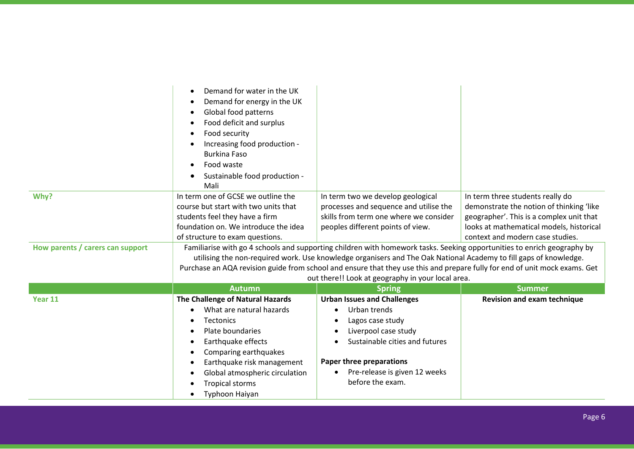|                                  | Demand for water in the UK<br>$\bullet$<br>Demand for energy in the UK<br>$\bullet$<br>Global food patterns<br>$\bullet$<br>Food deficit and surplus<br>$\bullet$<br>Food security<br>$\bullet$<br>Increasing food production -<br>$\bullet$<br><b>Burkina Faso</b><br>Food waste<br>$\bullet$<br>Sustainable food production -<br>Mali                    |                                                                                                                                                                                                                                                                                                                                                                                                                                 |                                                                                                                                                                                                          |
|----------------------------------|------------------------------------------------------------------------------------------------------------------------------------------------------------------------------------------------------------------------------------------------------------------------------------------------------------------------------------------------------------|---------------------------------------------------------------------------------------------------------------------------------------------------------------------------------------------------------------------------------------------------------------------------------------------------------------------------------------------------------------------------------------------------------------------------------|----------------------------------------------------------------------------------------------------------------------------------------------------------------------------------------------------------|
| Why?                             | In term one of GCSE we outline the<br>course but start with two units that<br>students feel they have a firm<br>foundation on. We introduce the idea<br>of structure to exam questions.                                                                                                                                                                    | In term two we develop geological<br>processes and sequence and utilise the<br>skills from term one where we consider<br>peoples different points of view.                                                                                                                                                                                                                                                                      | In term three students really do<br>demonstrate the notion of thinking 'like<br>geographer'. This is a complex unit that<br>looks at mathematical models, historical<br>context and modern case studies. |
| How parents / carers can support |                                                                                                                                                                                                                                                                                                                                                            | Familiarise with go 4 schools and supporting children with homework tasks. Seeking opportunities to enrich geography by<br>utilising the non-required work. Use knowledge organisers and The Oak National Academy to fill gaps of knowledge.<br>Purchase an AQA revision guide from school and ensure that they use this and prepare fully for end of unit mock exams. Get<br>out there!! Look at geography in your local area. |                                                                                                                                                                                                          |
|                                  | <b>Autumn</b>                                                                                                                                                                                                                                                                                                                                              | <b>Spring</b>                                                                                                                                                                                                                                                                                                                                                                                                                   | <b>Summer</b>                                                                                                                                                                                            |
| Year 11                          | The Challenge of Natural Hazards<br>What are natural hazards<br><b>Tectonics</b><br>$\bullet$<br>Plate boundaries<br>$\bullet$<br>Earthquake effects<br>$\bullet$<br>Comparing earthquakes<br>$\bullet$<br>Earthquake risk management<br>$\bullet$<br>Global atmospheric circulation<br>$\bullet$<br><b>Tropical storms</b><br>Typhoon Haiyan<br>$\bullet$ | <b>Urban Issues and Challenges</b><br>Urban trends<br>Lagos case study<br>Liverpool case study<br>Sustainable cities and futures<br>Paper three preparations<br>Pre-release is given 12 weeks<br>before the exam.                                                                                                                                                                                                               | <b>Revision and exam technique</b>                                                                                                                                                                       |